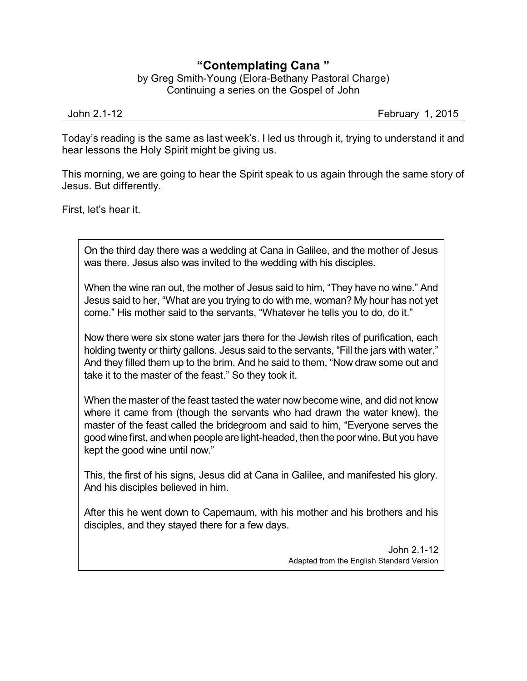## **"Contemplating Cana "**

by Greg Smith-Young (Elora-Bethany Pastoral Charge) Continuing a series on the Gospel of John

John 2.1-12 February 1, 2015

Today's reading is the same as last week's. I led us through it, trying to understand it and hear lessons the Holy Spirit might be giving us.

This morning, we are going to hear the Spirit speak to us again through the same story of Jesus. But differently.

First, let's hear it.

On the third day there was a wedding at Cana in Galilee, and the mother of Jesus was there. Jesus also was invited to the wedding with his disciples.

When the wine ran out, the mother of Jesus said to him, "They have no wine." And Jesus said to her, "What are you trying to do with me, woman? My hour has not yet come." His mother said to the servants, "Whatever he tells you to do, do it."

Now there were six stone water jars there for the Jewish rites of purification, each holding twenty or thirty gallons. Jesus said to the servants, "Fill the jars with water." And they filled them up to the brim. And he said to them, "Now draw some out and take it to the master of the feast." So they took it.

When the master of the feast tasted the water now become wine, and did not know where it came from (though the servants who had drawn the water knew), the master of the feast called the bridegroom and said to him, "Everyone serves the goodwinefirst, and when people are light-headed, then the poor wine. But you have kept the good wine until now."

This, the first of his signs, Jesus did at Cana in Galilee, and manifested his glory. And his disciples believed in him.

After this he went down to Capernaum, with his mother and his brothers and his disciples, and they stayed there for a few days.

> John 2.1-12 Adapted from the English Standard Version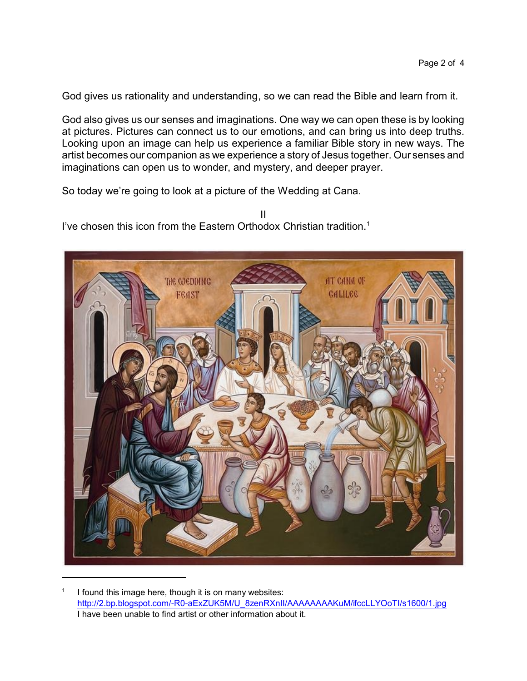God gives us rationality and understanding, so we can read the Bible and learn from it.

God also gives us our senses and imaginations. One way we can open these is by looking at pictures. Pictures can connect us to our emotions, and can bring us into deep truths. Looking upon an image can help us experience a familiar Bible story in new ways. The artist becomes our companion as we experience a story of Jesus together. Our senses and imaginations can open us to wonder, and mystery, and deeper prayer.

So today we're going to look at a picture of the Wedding at Cana.

II I've chosen this icon from the Eastern Orthodox Christian tradition.<sup>1</sup>



<sup>1</sup> I found this image here, though it is on many websites: [http://2.bp.blogspot.com/-R0-aExZUK5M/U\\_8zenRXnII/AAAAAAAAKuM/ifccLLYOoTI/s1600/1.jpg](http://2.bp.blogspot.com/-R0-aExZUK5M/U_8zenRXnII/AAAAAAAAKuM/ifccLLYOoTI/s1600/1.jpg) I have been unable to find artist or other information about it.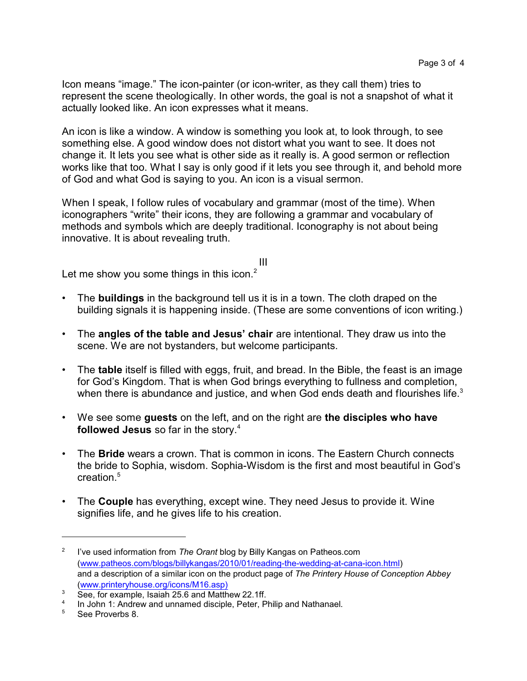Icon means "image." The icon-painter (or icon-writer, as they call them) tries to represent the scene theologically. In other words, the goal is not a snapshot of what it actually looked like. An icon expresses what it means.

An icon is like a window. A window is something you look at, to look through, to see something else. A good window does not distort what you want to see. It does not change it. It lets you see what is other side as it really is. A good sermon or reflection works like that too. What I say is only good if it lets you see through it, and behold more of God and what God is saying to you. An icon is a visual sermon.

When I speak, I follow rules of vocabulary and grammar (most of the time). When iconographers "write" their icons, they are following a grammar and vocabulary of methods and symbols which are deeply traditional. Iconography is not about being innovative. It is about revealing truth.

Let me show you some things in this icon. $2$ 

• The **buildings** in the background tell us it is in a town. The cloth draped on the building signals it is happening inside. (These are some conventions of icon writing.)

III

- The **angles of the table and Jesus' chair** are intentional. They draw us into the scene. We are not bystanders, but welcome participants.
- The **table** itself is filled with eggs, fruit, and bread. In the Bible, the feast is an image for God's Kingdom. That is when God brings everything to fullness and completion, when there is abundance and justice, and when God ends death and flourishes life.<sup>3</sup>
- We see some **guests** on the left, and on the right are **the disciples who have followed Jesus** so far in the story. 4
- The **Bride** wears a crown. That is common in icons. The Eastern Church connects the bride to Sophia, wisdom. Sophia-Wisdom is the first and most beautiful in God's creation.<sup>5</sup>
- The **Couple** has everything, except wine. They need Jesus to provide it. Wine signifies life, and he gives life to his creation.

<sup>2</sup> I've used information from *The Orant* blog by Billy Kangas on Patheos.com [\(www.patheos.com/blogs/billykangas/2010/01/reading-the-wedding-at-cana-icon.html](http://www.patheos.com/blogs/billykangas/2010/01/reading-the-wedding-at-cana-icon.html)) and a description of a similar icon on the product page of *The Printery House of Conception Abbey* [\(www.printeryhouse.org/icons/M16.asp\)](http://www.printeryhouse.org/icons/M16.asp)

<sup>&</sup>lt;sup>3</sup> See, for example, Isaiah 25.6 and Matthew 22.1ff.

<sup>4</sup> In John 1: Andrew and unnamed disciple, Peter, Philip and Nathanael.

<sup>5</sup> See Proverbs 8.